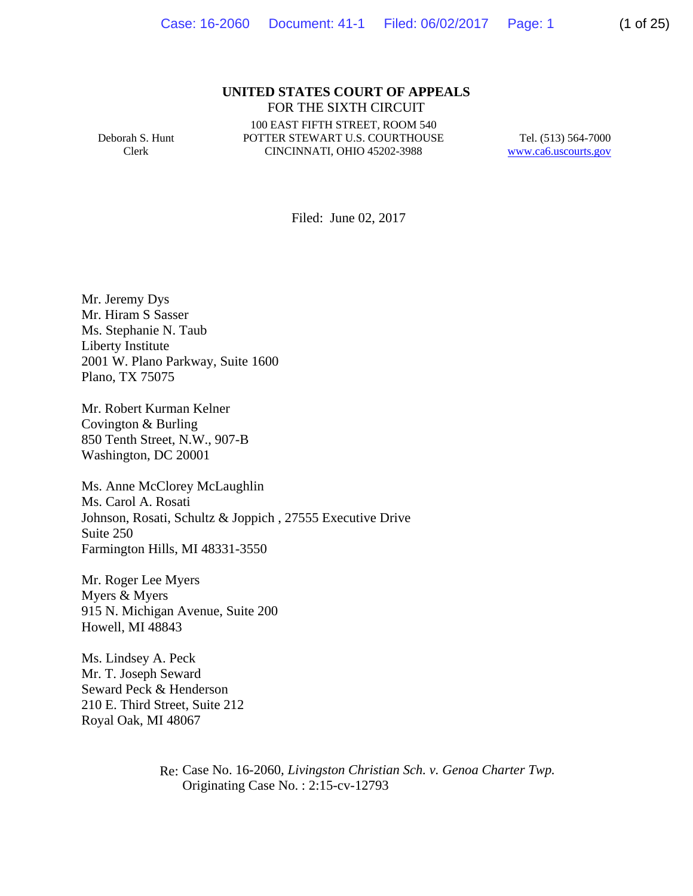#### **UNITED STATES COURT OF APPEALS** FOR THE SIXTH CIRCUIT

Deborah S. Hunt Clerk

100 EAST FIFTH STREET, ROOM 540 POTTER STEWART U.S. COURTHOUSE CINCINNATI, OHIO 45202-3988

Tel. (513) 564-7000 www.ca6.uscourts.gov

Filed: June 02, 2017

Mr. Jeremy Dys Mr. Hiram S Sasser Ms. Stephanie N. Taub Liberty Institute 2001 W. Plano Parkway, Suite 1600 Plano, TX 75075

Mr. Robert Kurman Kelner Covington & Burling 850 Tenth Street, N.W., 907-B Washington, DC 20001

Ms. Anne McClorey McLaughlin Ms. Carol A. Rosati Johnson, Rosati, Schultz & Joppich , 27555 Executive Drive Suite 250 Farmington Hills, MI 48331-3550

Mr. Roger Lee Myers Myers & Myers 915 N. Michigan Avenue, Suite 200 Howell, MI 48843

Ms. Lindsey A. Peck Mr. T. Joseph Seward Seward Peck & Henderson 210 E. Third Street, Suite 212 Royal Oak, MI 48067

> Re: Case No. 16-2060*, Livingston Christian Sch. v. Genoa Charter Twp.* Originating Case No. : 2:15-cv-12793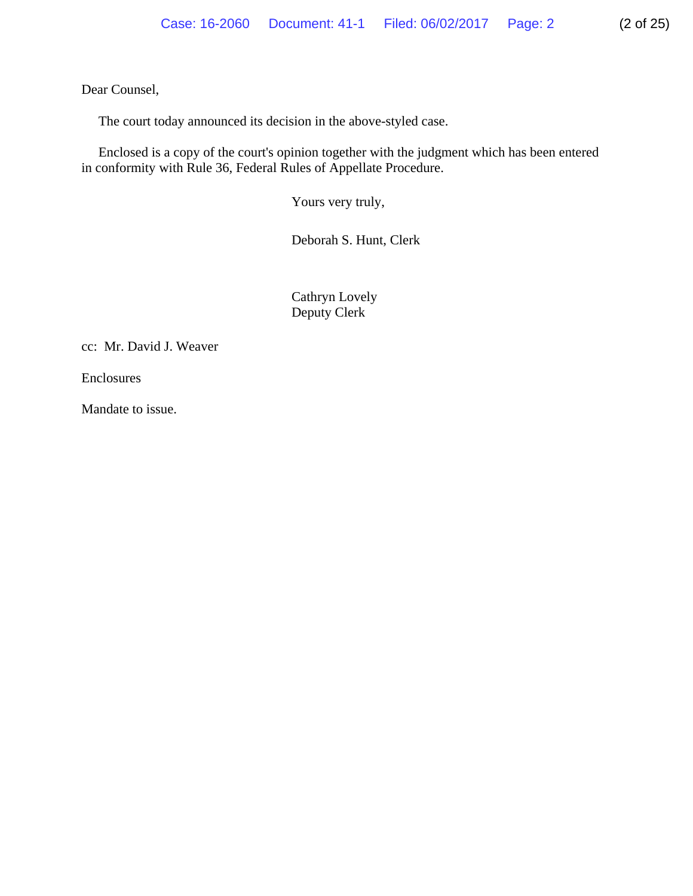Dear Counsel,

The court today announced its decision in the above-styled case.

 Enclosed is a copy of the court's opinion together with the judgment which has been entered in conformity with Rule 36, Federal Rules of Appellate Procedure.

Yours very truly,

Deborah S. Hunt, Clerk

 Cathryn Lovely Deputy Clerk

cc: Mr. David J. Weaver

Enclosures

Mandate to issue.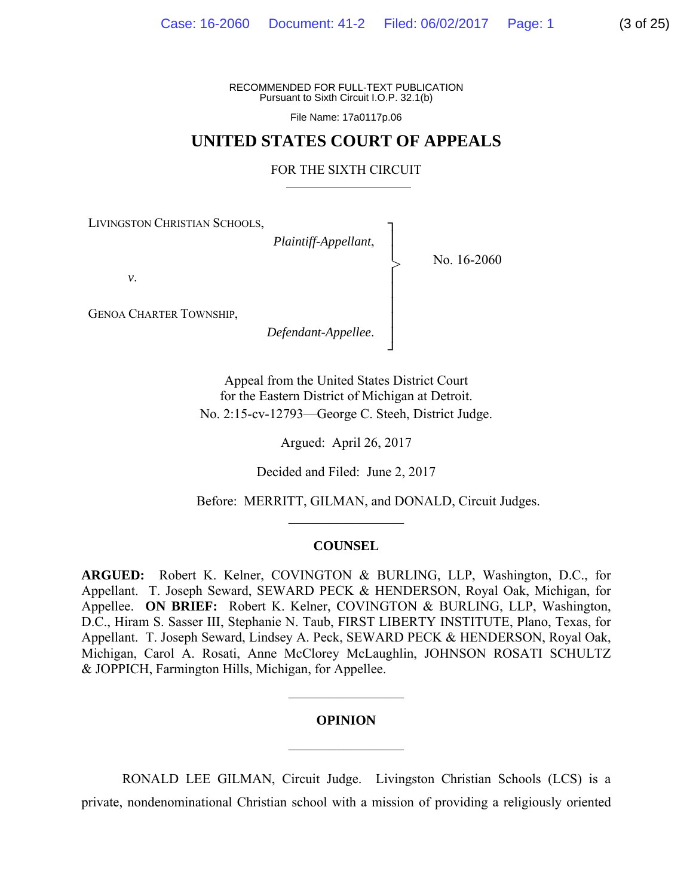File Name: 17a0117p.06

# **UNITED STATES COURT OF APPEALS**

#### FOR THE SIXTH CIRCUIT

┐ │ │ │ │ │ │ │ ┘

>

LIVINGSTON CHRISTIAN SCHOOLS,

*Plaintiff-Appellant*,

No. 16-2060

*v*.

GENOA CHARTER TOWNSHIP,

*Defendant-Appellee*.

Appeal from the United States District Court for the Eastern District of Michigan at Detroit. No. 2:15-cv-12793—George C. Steeh, District Judge.

Argued: April 26, 2017

Decided and Filed: June 2, 2017

Before: MERRITT, GILMAN, and DONALD, Circuit Judges.

#### **COUNSEL**

 $\mathcal{L}_\text{max}$ 

**ARGUED:** Robert K. Kelner, COVINGTON & BURLING, LLP, Washington, D.C., for Appellant. T. Joseph Seward, SEWARD PECK & HENDERSON, Royal Oak, Michigan, for Appellee. **ON BRIEF:** Robert K. Kelner, COVINGTON & BURLING, LLP, Washington, D.C., Hiram S. Sasser III, Stephanie N. Taub, FIRST LIBERTY INSTITUTE, Plano, Texas, for Appellant. T. Joseph Seward, Lindsey A. Peck, SEWARD PECK & HENDERSON, Royal Oak, Michigan, Carol A. Rosati, Anne McClorey McLaughlin, JOHNSON ROSATI SCHULTZ & JOPPICH, Farmington Hills, Michigan, for Appellee.

#### **OPINION**

 $\frac{1}{2}$ 

 $\frac{1}{2}$ 

RONALD LEE GILMAN, Circuit Judge.Livingston Christian Schools (LCS) is a private, nondenominational Christian school with a mission of providing a religiously oriented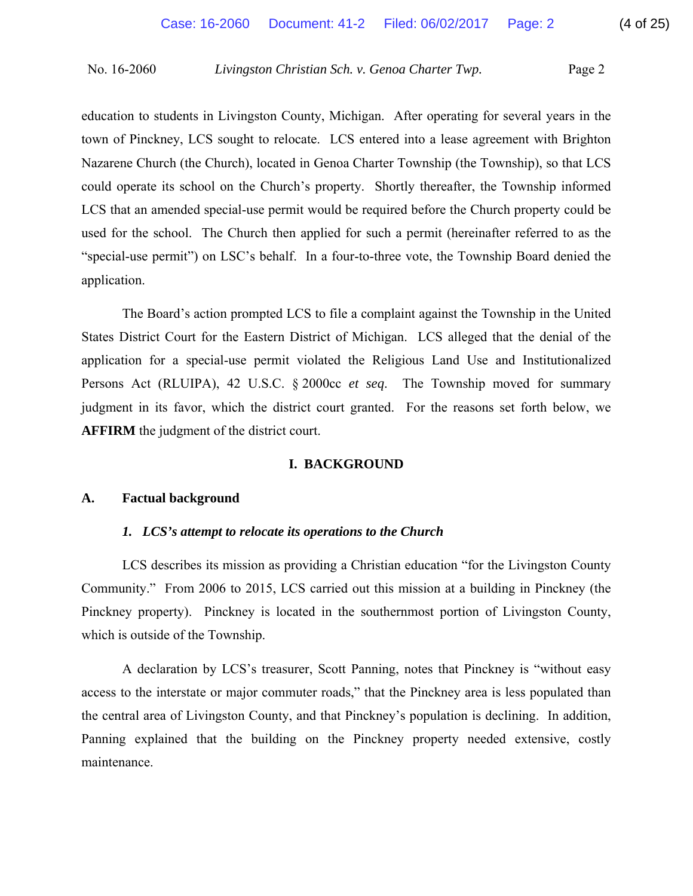education to students in Livingston County, Michigan. After operating for several years in the town of Pinckney, LCS sought to relocate. LCS entered into a lease agreement with Brighton Nazarene Church (the Church), located in Genoa Charter Township (the Township), so that LCS could operate its school on the Church's property. Shortly thereafter, the Township informed LCS that an amended special-use permit would be required before the Church property could be used for the school. The Church then applied for such a permit (hereinafter referred to as the "special-use permit") on LSC's behalf. In a four-to-three vote, the Township Board denied the application.

 The Board's action prompted LCS to file a complaint against the Township in the United States District Court for the Eastern District of Michigan. LCS alleged that the denial of the application for a special-use permit violated the Religious Land Use and Institutionalized Persons Act (RLUIPA), 42 U.S.C. § 2000cc *et seq*. The Township moved for summary judgment in its favor, which the district court granted. For the reasons set forth below, we **AFFIRM** the judgment of the district court.

# **I. BACKGROUND**

# **A. Factual background**

# *1. LCS's attempt to relocate its operations to the Church*

 LCS describes its mission as providing a Christian education "for the Livingston County Community." From 2006 to 2015, LCS carried out this mission at a building in Pinckney (the Pinckney property). Pinckney is located in the southernmost portion of Livingston County, which is outside of the Township.

 A declaration by LCS's treasurer, Scott Panning, notes that Pinckney is "without easy access to the interstate or major commuter roads," that the Pinckney area is less populated than the central area of Livingston County, and that Pinckney's population is declining. In addition, Panning explained that the building on the Pinckney property needed extensive, costly maintenance.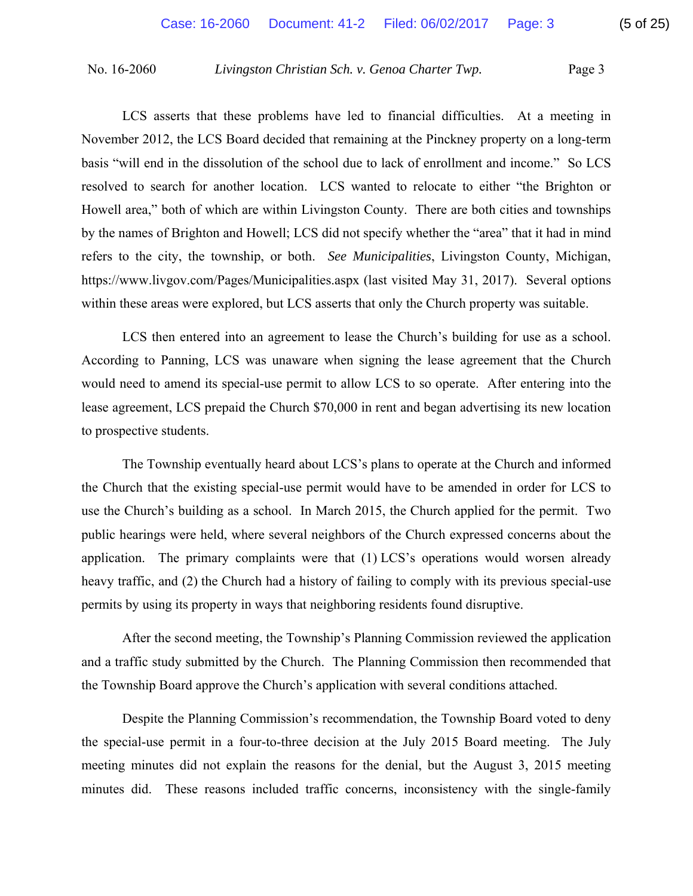LCS asserts that these problems have led to financial difficulties. At a meeting in November 2012, the LCS Board decided that remaining at the Pinckney property on a long-term basis "will end in the dissolution of the school due to lack of enrollment and income." So LCS resolved to search for another location. LCS wanted to relocate to either "the Brighton or Howell area," both of which are within Livingston County. There are both cities and townships by the names of Brighton and Howell; LCS did not specify whether the "area" that it had in mind refers to the city, the township, or both. *See Municipalities*, Livingston County, Michigan, https://www.livgov.com/Pages/Municipalities.aspx (last visited May 31, 2017). Several options within these areas were explored, but LCS asserts that only the Church property was suitable.

LCS then entered into an agreement to lease the Church's building for use as a school. According to Panning, LCS was unaware when signing the lease agreement that the Church would need to amend its special-use permit to allow LCS to so operate. After entering into the lease agreement, LCS prepaid the Church \$70,000 in rent and began advertising its new location to prospective students.

 The Township eventually heard about LCS's plans to operate at the Church and informed the Church that the existing special-use permit would have to be amended in order for LCS to use the Church's building as a school. In March 2015, the Church applied for the permit. Two public hearings were held, where several neighbors of the Church expressed concerns about the application. The primary complaints were that (1) LCS's operations would worsen already heavy traffic, and (2) the Church had a history of failing to comply with its previous special-use permits by using its property in ways that neighboring residents found disruptive.

 After the second meeting, the Township's Planning Commission reviewed the application and a traffic study submitted by the Church. The Planning Commission then recommended that the Township Board approve the Church's application with several conditions attached.

 Despite the Planning Commission's recommendation, the Township Board voted to deny the special-use permit in a four-to-three decision at the July 2015 Board meeting. The July meeting minutes did not explain the reasons for the denial, but the August 3, 2015 meeting minutes did. These reasons included traffic concerns, inconsistency with the single-family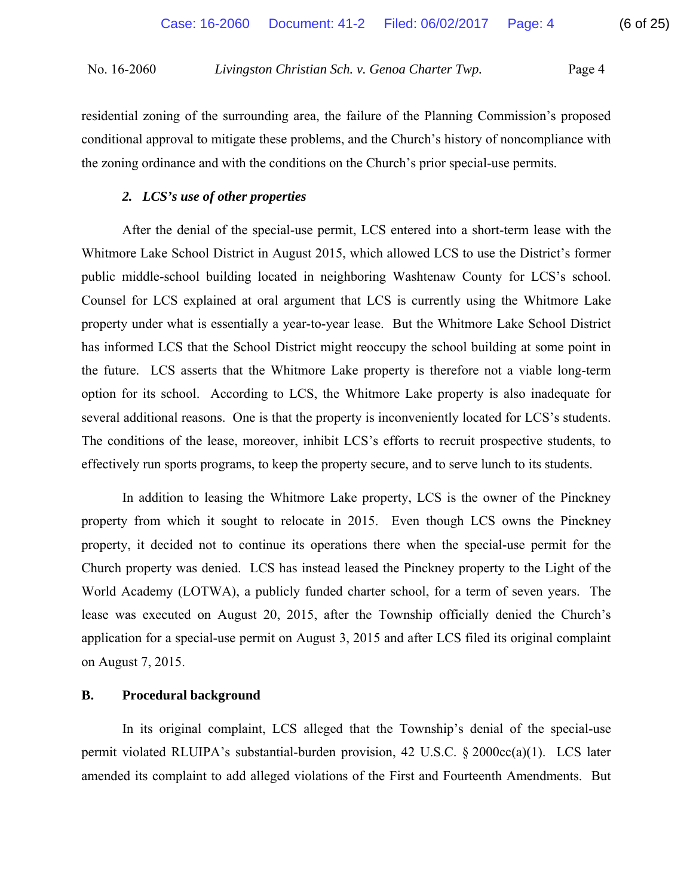residential zoning of the surrounding area, the failure of the Planning Commission's proposed conditional approval to mitigate these problems, and the Church's history of noncompliance with the zoning ordinance and with the conditions on the Church's prior special-use permits.

# *2. LCS's use of other properties*

 After the denial of the special-use permit, LCS entered into a short-term lease with the Whitmore Lake School District in August 2015, which allowed LCS to use the District's former public middle-school building located in neighboring Washtenaw County for LCS's school. Counsel for LCS explained at oral argument that LCS is currently using the Whitmore Lake property under what is essentially a year-to-year lease. But the Whitmore Lake School District has informed LCS that the School District might reoccupy the school building at some point in the future. LCS asserts that the Whitmore Lake property is therefore not a viable long-term option for its school. According to LCS, the Whitmore Lake property is also inadequate for several additional reasons. One is that the property is inconveniently located for LCS's students. The conditions of the lease, moreover, inhibit LCS's efforts to recruit prospective students, to effectively run sports programs, to keep the property secure, and to serve lunch to its students.

 In addition to leasing the Whitmore Lake property, LCS is the owner of the Pinckney property from which it sought to relocate in 2015. Even though LCS owns the Pinckney property, it decided not to continue its operations there when the special-use permit for the Church property was denied. LCS has instead leased the Pinckney property to the Light of the World Academy (LOTWA), a publicly funded charter school, for a term of seven years. The lease was executed on August 20, 2015, after the Township officially denied the Church's application for a special-use permit on August 3, 2015 and after LCS filed its original complaint on August 7, 2015.

# **B. Procedural background**

 In its original complaint, LCS alleged that the Township's denial of the special-use permit violated RLUIPA's substantial-burden provision, 42 U.S.C. § 2000cc(a)(1). LCS later amended its complaint to add alleged violations of the First and Fourteenth Amendments. But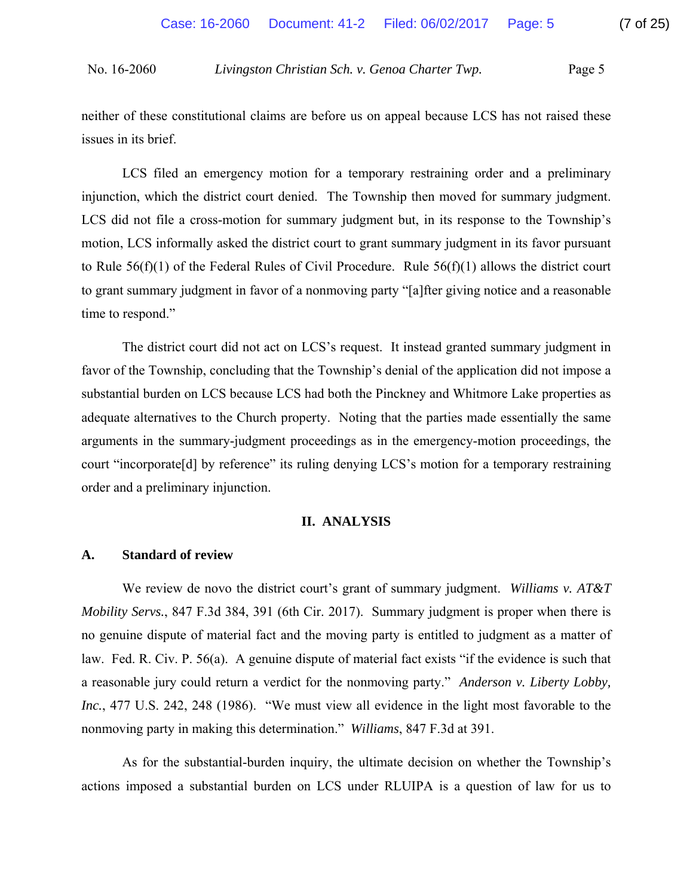neither of these constitutional claims are before us on appeal because LCS has not raised these issues in its brief.

 LCS filed an emergency motion for a temporary restraining order and a preliminary injunction, which the district court denied. The Township then moved for summary judgment. LCS did not file a cross-motion for summary judgment but, in its response to the Township's motion, LCS informally asked the district court to grant summary judgment in its favor pursuant to Rule  $56(f)(1)$  of the Federal Rules of Civil Procedure. Rule  $56(f)(1)$  allows the district court to grant summary judgment in favor of a nonmoving party "[a]fter giving notice and a reasonable time to respond."

 The district court did not act on LCS's request. It instead granted summary judgment in favor of the Township, concluding that the Township's denial of the application did not impose a substantial burden on LCS because LCS had both the Pinckney and Whitmore Lake properties as adequate alternatives to the Church property. Noting that the parties made essentially the same arguments in the summary-judgment proceedings as in the emergency-motion proceedings, the court "incorporate[d] by reference" its ruling denying LCS's motion for a temporary restraining order and a preliminary injunction.

# **II. ANALYSIS**

# **A. Standard of review**

We review de novo the district court's grant of summary judgment. *Williams v. AT&T Mobility Servs.*, 847 F.3d 384, 391 (6th Cir. 2017). Summary judgment is proper when there is no genuine dispute of material fact and the moving party is entitled to judgment as a matter of law. Fed. R. Civ. P. 56(a). A genuine dispute of material fact exists "if the evidence is such that a reasonable jury could return a verdict for the nonmoving party." *Anderson v. Liberty Lobby, Inc.*, 477 U.S. 242, 248 (1986). "We must view all evidence in the light most favorable to the nonmoving party in making this determination." *Williams*, 847 F.3d at 391.

 As for the substantial-burden inquiry, the ultimate decision on whether the Township's actions imposed a substantial burden on LCS under RLUIPA is a question of law for us to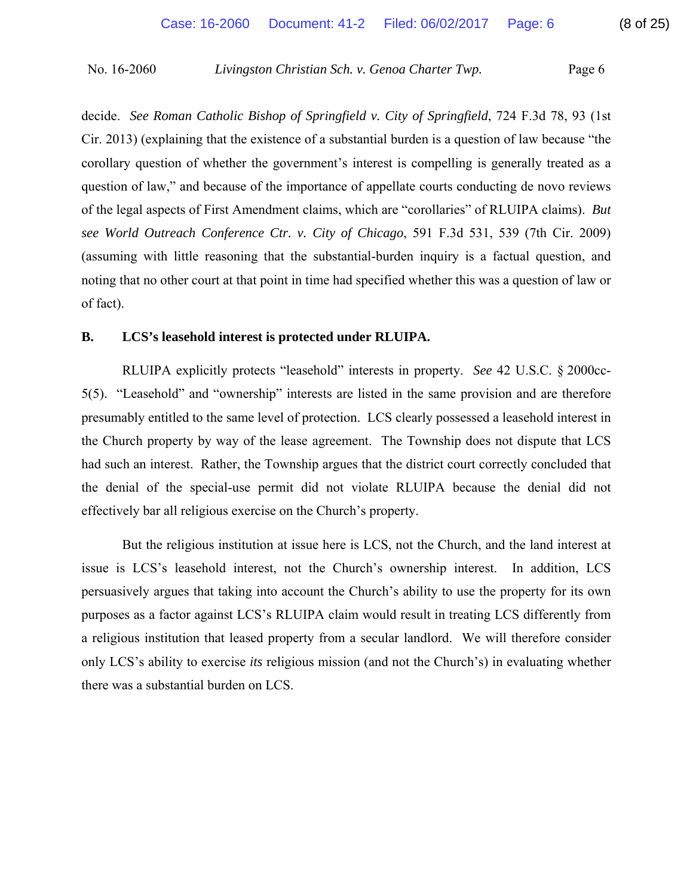decide. *See Roman Catholic Bishop of Springfield v. City of Springfield*, 724 F.3d 78, 93 (1st Cir. 2013) (explaining that the existence of a substantial burden is a question of law because "the corollary question of whether the government's interest is compelling is generally treated as a question of law," and because of the importance of appellate courts conducting de novo reviews of the legal aspects of First Amendment claims, which are "corollaries" of RLUIPA claims). *But see World Outreach Conference Ctr. v. City of Chicago*, 591 F.3d 531, 539 (7th Cir. 2009) (assuming with little reasoning that the substantial-burden inquiry is a factual question, and noting that no other court at that point in time had specified whether this was a question of law or of fact).

# **B. LCS's leasehold interest is protected under RLUIPA.**

RLUIPA explicitly protects "leasehold" interests in property. *See* 42 U.S.C. § 2000cc-5(5). "Leasehold" and "ownership" interests are listed in the same provision and are therefore presumably entitled to the same level of protection. LCS clearly possessed a leasehold interest in the Church property by way of the lease agreement. The Township does not dispute that LCS had such an interest. Rather, the Township argues that the district court correctly concluded that the denial of the special-use permit did not violate RLUIPA because the denial did not effectively bar all religious exercise on the Church's property.

But the religious institution at issue here is LCS, not the Church, and the land interest at issue is LCS's leasehold interest, not the Church's ownership interest. In addition, LCS persuasively argues that taking into account the Church's ability to use the property for its own purposes as a factor against LCS's RLUIPA claim would result in treating LCS differently from a religious institution that leased property from a secular landlord. We will therefore consider only LCS's ability to exercise *its* religious mission (and not the Church's) in evaluating whether there was a substantial burden on LCS.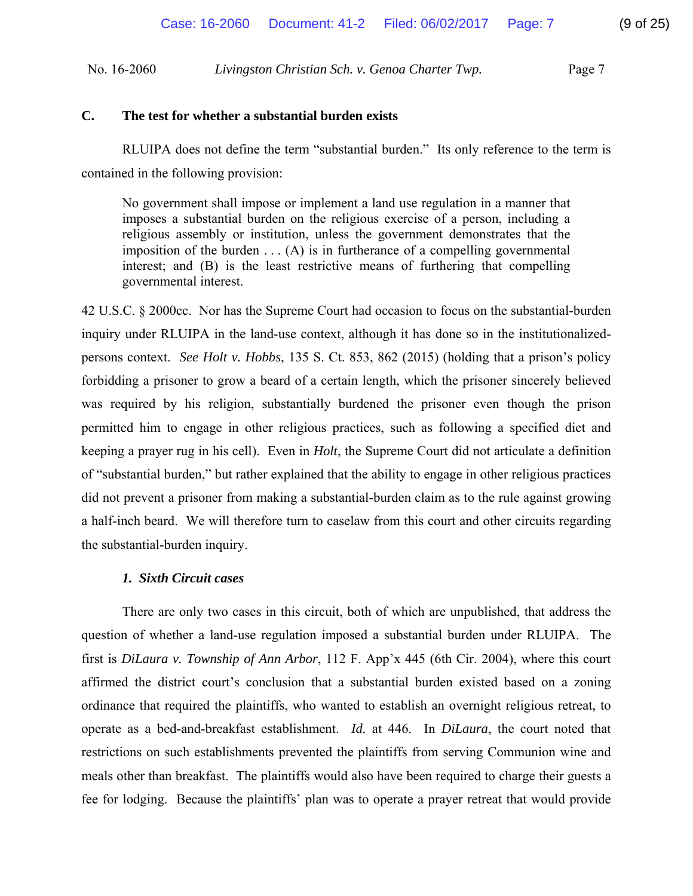# **C. The test for whether a substantial burden exists**

 RLUIPA does not define the term "substantial burden." Its only reference to the term is contained in the following provision:

No government shall impose or implement a land use regulation in a manner that imposes a substantial burden on the religious exercise of a person, including a religious assembly or institution, unless the government demonstrates that the imposition of the burden  $\dots$  (A) is in furtherance of a compelling governmental interest; and (B) is the least restrictive means of furthering that compelling governmental interest.

42 U.S.C. § 2000cc. Nor has the Supreme Court had occasion to focus on the substantial-burden inquiry under RLUIPA in the land-use context, although it has done so in the institutionalizedpersons context. *See Holt v. Hobbs*, 135 S. Ct. 853, 862 (2015) (holding that a prison's policy forbidding a prisoner to grow a beard of a certain length, which the prisoner sincerely believed was required by his religion, substantially burdened the prisoner even though the prison permitted him to engage in other religious practices, such as following a specified diet and keeping a prayer rug in his cell). Even in *Holt*, the Supreme Court did not articulate a definition of "substantial burden," but rather explained that the ability to engage in other religious practices did not prevent a prisoner from making a substantial-burden claim as to the rule against growing a half-inch beard. We will therefore turn to caselaw from this court and other circuits regarding the substantial-burden inquiry.

# *1. Sixth Circuit cases*

 There are only two cases in this circuit, both of which are unpublished, that address the question of whether a land-use regulation imposed a substantial burden under RLUIPA. The first is *DiLaura v. Township of Ann Arbor*, 112 F. App'x 445 (6th Cir. 2004), where this court affirmed the district court's conclusion that a substantial burden existed based on a zoning ordinance that required the plaintiffs, who wanted to establish an overnight religious retreat, to operate as a bed-and-breakfast establishment. *Id.* at 446. In *DiLaura*, the court noted that restrictions on such establishments prevented the plaintiffs from serving Communion wine and meals other than breakfast. The plaintiffs would also have been required to charge their guests a fee for lodging. Because the plaintiffs' plan was to operate a prayer retreat that would provide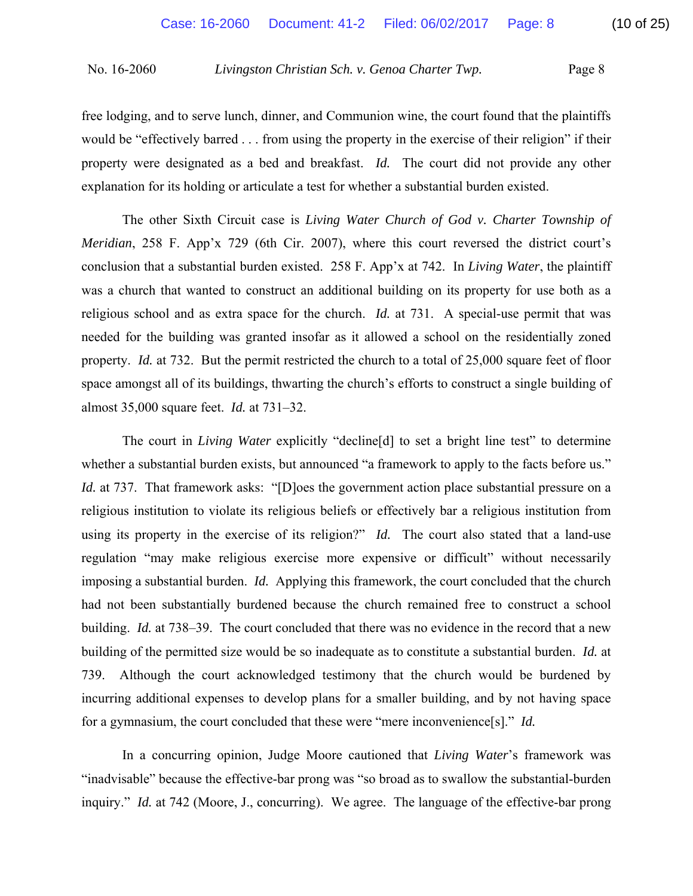free lodging, and to serve lunch, dinner, and Communion wine, the court found that the plaintiffs would be "effectively barred . . . from using the property in the exercise of their religion" if their property were designated as a bed and breakfast. *Id.* The court did not provide any other explanation for its holding or articulate a test for whether a substantial burden existed.

 The other Sixth Circuit case is *Living Water Church of God v. Charter Township of Meridian*, 258 F. App'x 729 (6th Cir. 2007), where this court reversed the district court's conclusion that a substantial burden existed. 258 F. App'x at 742. In *Living Water*, the plaintiff was a church that wanted to construct an additional building on its property for use both as a religious school and as extra space for the church. *Id.* at 731. A special-use permit that was needed for the building was granted insofar as it allowed a school on the residentially zoned property. *Id.* at 732. But the permit restricted the church to a total of 25,000 square feet of floor space amongst all of its buildings, thwarting the church's efforts to construct a single building of almost 35,000 square feet. *Id.* at 731–32.

 The court in *Living Water* explicitly "decline[d] to set a bright line test" to determine whether a substantial burden exists, but announced "a framework to apply to the facts before us." *Id.* at 737. That framework asks: "[D]oes the government action place substantial pressure on a religious institution to violate its religious beliefs or effectively bar a religious institution from using its property in the exercise of its religion?" *Id.* The court also stated that a land-use regulation "may make religious exercise more expensive or difficult" without necessarily imposing a substantial burden. *Id.* Applying this framework, the court concluded that the church had not been substantially burdened because the church remained free to construct a school building. *Id.* at 738–39. The court concluded that there was no evidence in the record that a new building of the permitted size would be so inadequate as to constitute a substantial burden. *Id.* at 739. Although the court acknowledged testimony that the church would be burdened by incurring additional expenses to develop plans for a smaller building, and by not having space for a gymnasium, the court concluded that these were "mere inconvenience[s]." *Id.* 

In a concurring opinion, Judge Moore cautioned that *Living Water*'s framework was "inadvisable" because the effective-bar prong was "so broad as to swallow the substantial-burden inquiry." *Id.* at 742 (Moore, J., concurring). We agree. The language of the effective-bar prong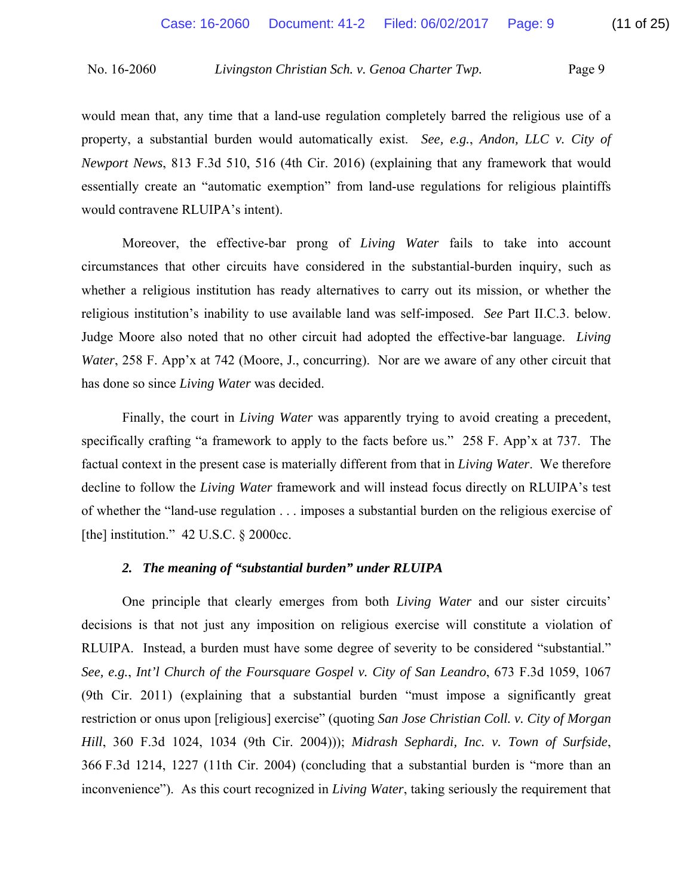would mean that, any time that a land-use regulation completely barred the religious use of a property, a substantial burden would automatically exist. *See, e.g.*, *Andon, LLC v. City of Newport News*, 813 F.3d 510, 516 (4th Cir. 2016) (explaining that any framework that would essentially create an "automatic exemption" from land-use regulations for religious plaintiffs would contravene RLUIPA's intent).

Moreover, the effective-bar prong of *Living Water* fails to take into account circumstances that other circuits have considered in the substantial-burden inquiry, such as whether a religious institution has ready alternatives to carry out its mission, or whether the religious institution's inability to use available land was self-imposed. *See* Part II.C.3. below. Judge Moore also noted that no other circuit had adopted the effective-bar language. *Living Water*, 258 F. App'x at 742 (Moore, J., concurring). Nor are we aware of any other circuit that has done so since *Living Water* was decided.

Finally, the court in *Living Water* was apparently trying to avoid creating a precedent, specifically crafting "a framework to apply to the facts before us." 258 F. App'x at 737. The factual context in the present case is materially different from that in *Living Water*. We therefore decline to follow the *Living Water* framework and will instead focus directly on RLUIPA's test of whether the "land-use regulation . . . imposes a substantial burden on the religious exercise of [the] institution."  $42$  U.S.C.  $\frac{6}{9}$  2000cc.

# *2. The meaning of "substantial burden" under RLUIPA*

One principle that clearly emerges from both *Living Water* and our sister circuits' decisions is that not just any imposition on religious exercise will constitute a violation of RLUIPA. Instead, a burden must have some degree of severity to be considered "substantial." *See, e.g.*, *Int'l Church of the Foursquare Gospel v. City of San Leandro*, 673 F.3d 1059, 1067 (9th Cir. 2011) (explaining that a substantial burden "must impose a significantly great restriction or onus upon [religious] exercise" (quoting *San Jose Christian Coll. v. City of Morgan Hill*, 360 F.3d 1024, 1034 (9th Cir. 2004))); *Midrash Sephardi, Inc. v. Town of Surfside*, 366 F.3d 1214, 1227 (11th Cir. 2004) (concluding that a substantial burden is "more than an inconvenience"). As this court recognized in *Living Water*, taking seriously the requirement that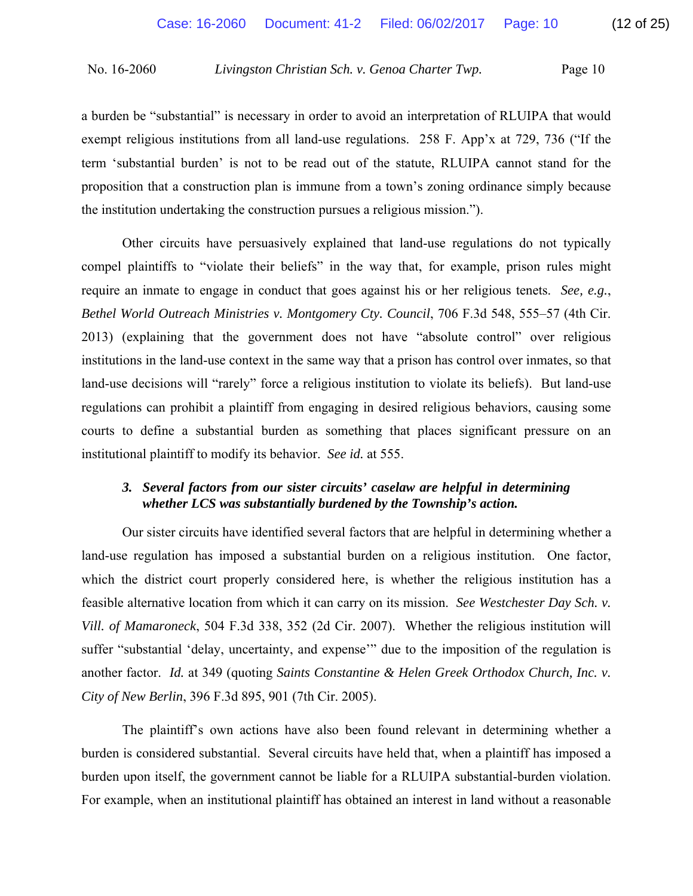a burden be "substantial" is necessary in order to avoid an interpretation of RLUIPA that would exempt religious institutions from all land-use regulations. 258 F. App'x at 729, 736 ("If the term 'substantial burden' is not to be read out of the statute, RLUIPA cannot stand for the proposition that a construction plan is immune from a town's zoning ordinance simply because the institution undertaking the construction pursues a religious mission.").

 Other circuits have persuasively explained that land-use regulations do not typically compel plaintiffs to "violate their beliefs" in the way that, for example, prison rules might require an inmate to engage in conduct that goes against his or her religious tenets. *See, e.g.*, *Bethel World Outreach Ministries v. Montgomery Cty. Council*, 706 F.3d 548, 555–57 (4th Cir. 2013) (explaining that the government does not have "absolute control" over religious institutions in the land-use context in the same way that a prison has control over inmates, so that land-use decisions will "rarely" force a religious institution to violate its beliefs). But land-use regulations can prohibit a plaintiff from engaging in desired religious behaviors, causing some courts to define a substantial burden as something that places significant pressure on an institutional plaintiff to modify its behavior. *See id.* at 555.

# *3. Several factors from our sister circuits' caselaw are helpful in determining whether LCS was substantially burdened by the Township's action.*

 Our sister circuits have identified several factors that are helpful in determining whether a land-use regulation has imposed a substantial burden on a religious institution. One factor, which the district court properly considered here, is whether the religious institution has a feasible alternative location from which it can carry on its mission. *See Westchester Day Sch. v. Vill. of Mamaroneck*, 504 F.3d 338, 352 (2d Cir. 2007). Whether the religious institution will suffer "substantial 'delay, uncertainty, and expense'" due to the imposition of the regulation is another factor. *Id.* at 349 (quoting *Saints Constantine & Helen Greek Orthodox Church, Inc. v. City of New Berlin*, 396 F.3d 895, 901 (7th Cir. 2005).

 The plaintiff's own actions have also been found relevant in determining whether a burden is considered substantial. Several circuits have held that, when a plaintiff has imposed a burden upon itself, the government cannot be liable for a RLUIPA substantial-burden violation. For example, when an institutional plaintiff has obtained an interest in land without a reasonable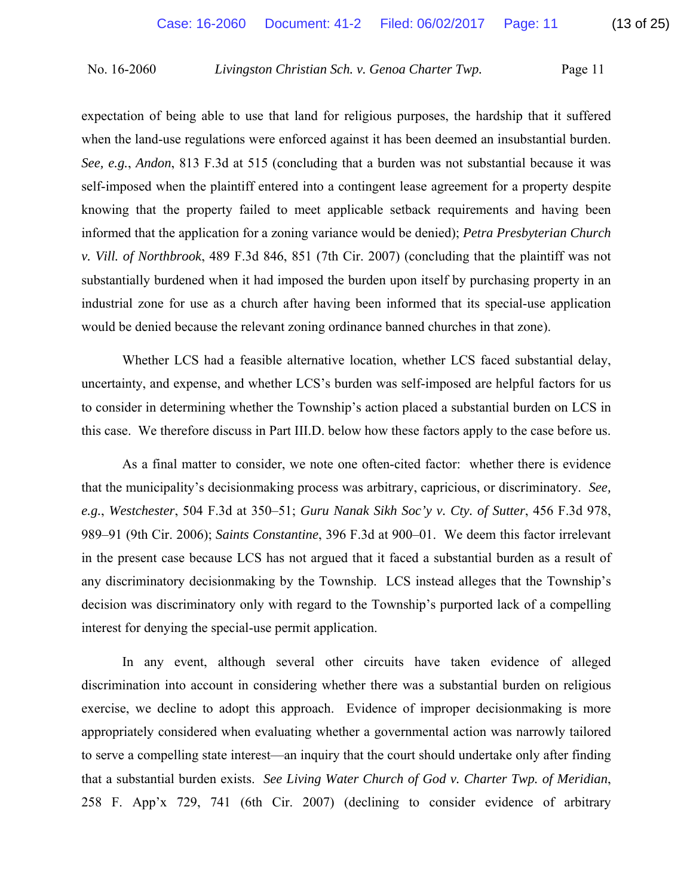expectation of being able to use that land for religious purposes, the hardship that it suffered when the land-use regulations were enforced against it has been deemed an insubstantial burden. *See, e.g.*, *Andon*, 813 F.3d at 515 (concluding that a burden was not substantial because it was self-imposed when the plaintiff entered into a contingent lease agreement for a property despite knowing that the property failed to meet applicable setback requirements and having been informed that the application for a zoning variance would be denied); *Petra Presbyterian Church v. Vill. of Northbrook*, 489 F.3d 846, 851 (7th Cir. 2007) (concluding that the plaintiff was not substantially burdened when it had imposed the burden upon itself by purchasing property in an industrial zone for use as a church after having been informed that its special-use application would be denied because the relevant zoning ordinance banned churches in that zone).

 Whether LCS had a feasible alternative location, whether LCS faced substantial delay, uncertainty, and expense, and whether LCS's burden was self-imposed are helpful factors for us to consider in determining whether the Township's action placed a substantial burden on LCS in this case. We therefore discuss in Part III.D. below how these factors apply to the case before us.

 As a final matter to consider, we note one often-cited factor: whether there is evidence that the municipality's decisionmaking process was arbitrary, capricious, or discriminatory. *See, e.g.*, *Westchester*, 504 F.3d at 350–51; *Guru Nanak Sikh Soc'y v. Cty. of Sutter*, 456 F.3d 978, 989–91 (9th Cir. 2006); *Saints Constantine*, 396 F.3d at 900–01. We deem this factor irrelevant in the present case because LCS has not argued that it faced a substantial burden as a result of any discriminatory decisionmaking by the Township. LCS instead alleges that the Township's decision was discriminatory only with regard to the Township's purported lack of a compelling interest for denying the special-use permit application.

 In any event, although several other circuits have taken evidence of alleged discrimination into account in considering whether there was a substantial burden on religious exercise, we decline to adopt this approach. Evidence of improper decisionmaking is more appropriately considered when evaluating whether a governmental action was narrowly tailored to serve a compelling state interest—an inquiry that the court should undertake only after finding that a substantial burden exists. *See Living Water Church of God v. Charter Twp. of Meridian*, 258 F. App'x 729, 741 (6th Cir. 2007) (declining to consider evidence of arbitrary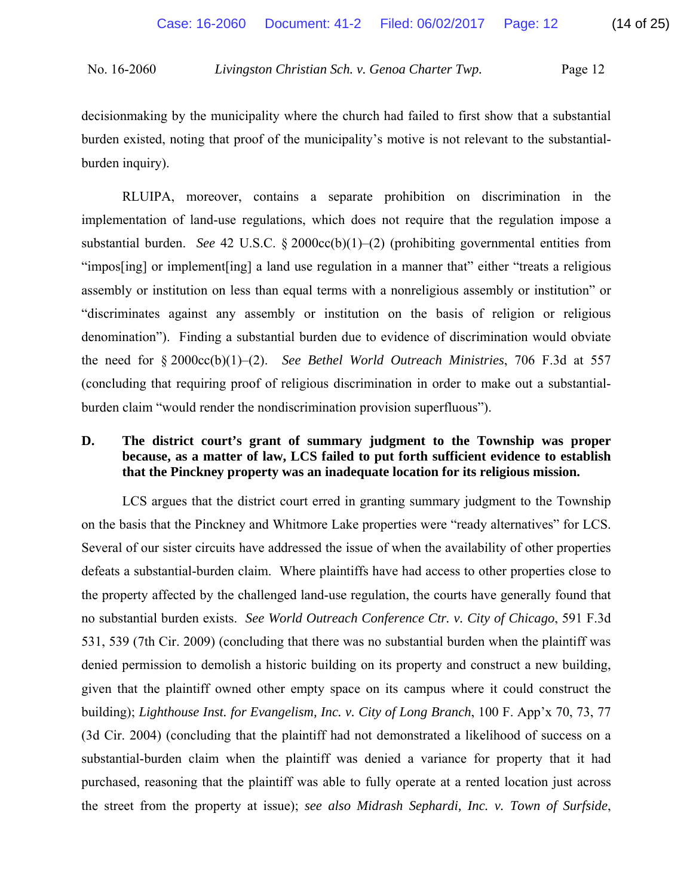decisionmaking by the municipality where the church had failed to first show that a substantial burden existed, noting that proof of the municipality's motive is not relevant to the substantialburden inquiry).

 RLUIPA, moreover, contains a separate prohibition on discrimination in the implementation of land-use regulations, which does not require that the regulation impose a substantial burden. *See* 42 U.S.C. § 2000cc(b)(1)–(2) (prohibiting governmental entities from "impos[ing] or implement[ing] a land use regulation in a manner that" either "treats a religious assembly or institution on less than equal terms with a nonreligious assembly or institution" or "discriminates against any assembly or institution on the basis of religion or religious denomination"). Finding a substantial burden due to evidence of discrimination would obviate the need for § 2000cc(b)(1)–(2). *See Bethel World Outreach Ministries*, 706 F.3d at 557 (concluding that requiring proof of religious discrimination in order to make out a substantialburden claim "would render the nondiscrimination provision superfluous").

# **D. The district court's grant of summary judgment to the Township was proper because, as a matter of law, LCS failed to put forth sufficient evidence to establish that the Pinckney property was an inadequate location for its religious mission.**

LCS argues that the district court erred in granting summary judgment to the Township on the basis that the Pinckney and Whitmore Lake properties were "ready alternatives" for LCS. Several of our sister circuits have addressed the issue of when the availability of other properties defeats a substantial-burden claim. Where plaintiffs have had access to other properties close to the property affected by the challenged land-use regulation, the courts have generally found that no substantial burden exists. *See World Outreach Conference Ctr. v. City of Chicago*, 591 F.3d 531, 539 (7th Cir. 2009) (concluding that there was no substantial burden when the plaintiff was denied permission to demolish a historic building on its property and construct a new building, given that the plaintiff owned other empty space on its campus where it could construct the building); *Lighthouse Inst. for Evangelism, Inc. v. City of Long Branch*, 100 F. App'x 70, 73, 77 (3d Cir. 2004) (concluding that the plaintiff had not demonstrated a likelihood of success on a substantial-burden claim when the plaintiff was denied a variance for property that it had purchased, reasoning that the plaintiff was able to fully operate at a rented location just across the street from the property at issue); *see also Midrash Sephardi, Inc. v. Town of Surfside*,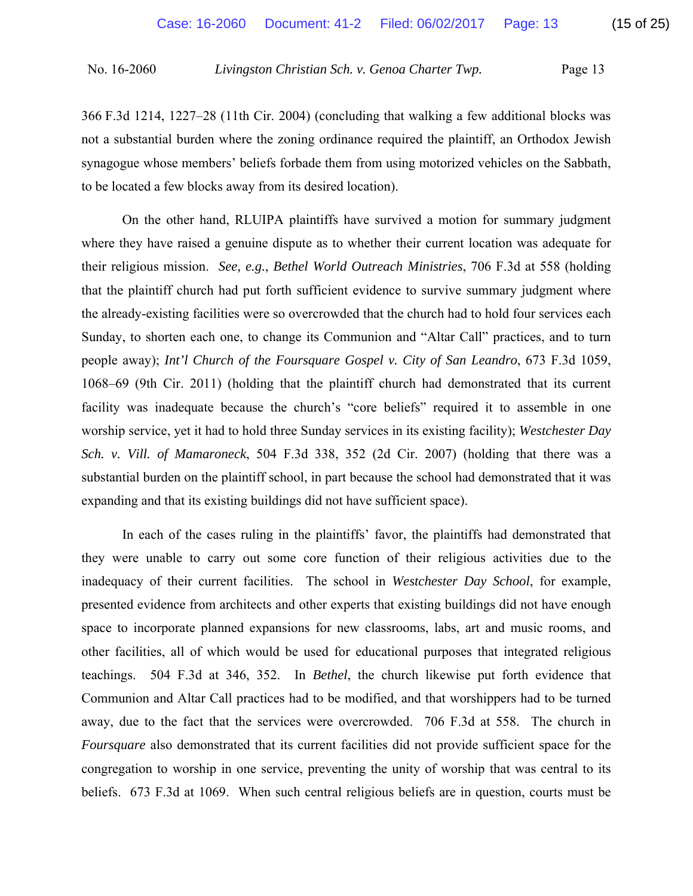366 F.3d 1214, 1227–28 (11th Cir. 2004) (concluding that walking a few additional blocks was not a substantial burden where the zoning ordinance required the plaintiff, an Orthodox Jewish synagogue whose members' beliefs forbade them from using motorized vehicles on the Sabbath, to be located a few blocks away from its desired location).

 On the other hand, RLUIPA plaintiffs have survived a motion for summary judgment where they have raised a genuine dispute as to whether their current location was adequate for their religious mission. *See, e.g.*, *Bethel World Outreach Ministries*, 706 F.3d at 558 (holding that the plaintiff church had put forth sufficient evidence to survive summary judgment where the already-existing facilities were so overcrowded that the church had to hold four services each Sunday, to shorten each one, to change its Communion and "Altar Call" practices, and to turn people away); *Int'l Church of the Foursquare Gospel v. City of San Leandro*, 673 F.3d 1059, 1068–69 (9th Cir. 2011) (holding that the plaintiff church had demonstrated that its current facility was inadequate because the church's "core beliefs" required it to assemble in one worship service, yet it had to hold three Sunday services in its existing facility); *Westchester Day Sch. v. Vill. of Mamaroneck*, 504 F.3d 338, 352 (2d Cir. 2007) (holding that there was a substantial burden on the plaintiff school, in part because the school had demonstrated that it was expanding and that its existing buildings did not have sufficient space).

 In each of the cases ruling in the plaintiffs' favor, the plaintiffs had demonstrated that they were unable to carry out some core function of their religious activities due to the inadequacy of their current facilities. The school in *Westchester Day School*, for example, presented evidence from architects and other experts that existing buildings did not have enough space to incorporate planned expansions for new classrooms, labs, art and music rooms, and other facilities, all of which would be used for educational purposes that integrated religious teachings. 504 F.3d at 346, 352. In *Bethel*, the church likewise put forth evidence that Communion and Altar Call practices had to be modified, and that worshippers had to be turned away, due to the fact that the services were overcrowded. 706 F.3d at 558. The church in *Foursquare* also demonstrated that its current facilities did not provide sufficient space for the congregation to worship in one service, preventing the unity of worship that was central to its beliefs. 673 F.3d at 1069. When such central religious beliefs are in question, courts must be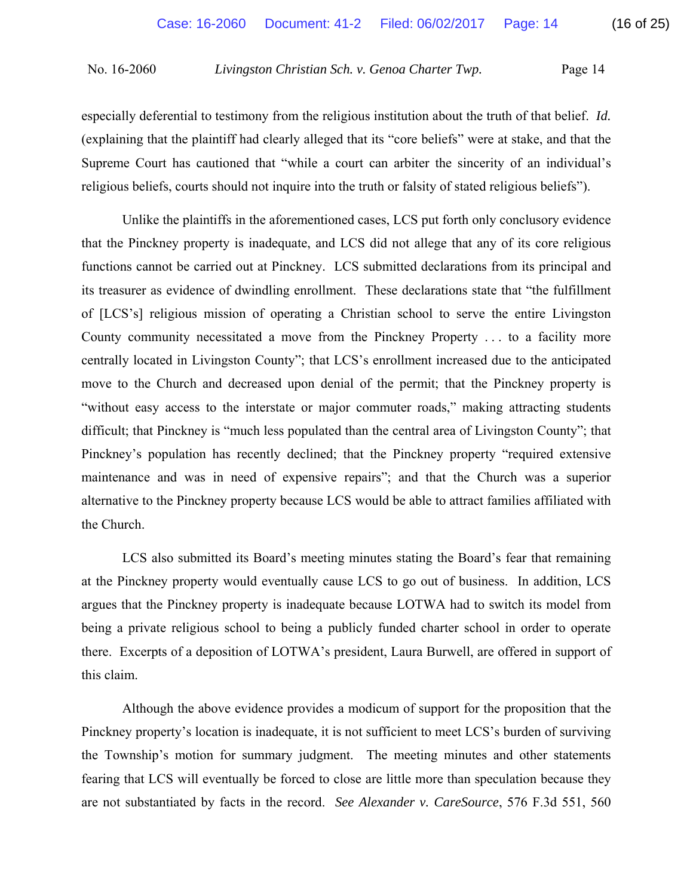especially deferential to testimony from the religious institution about the truth of that belief. *Id.*  (explaining that the plaintiff had clearly alleged that its "core beliefs" were at stake, and that the Supreme Court has cautioned that "while a court can arbiter the sincerity of an individual's religious beliefs, courts should not inquire into the truth or falsity of stated religious beliefs").

 Unlike the plaintiffs in the aforementioned cases, LCS put forth only conclusory evidence that the Pinckney property is inadequate, and LCS did not allege that any of its core religious functions cannot be carried out at Pinckney. LCS submitted declarations from its principal and its treasurer as evidence of dwindling enrollment. These declarations state that "the fulfillment of [LCS's] religious mission of operating a Christian school to serve the entire Livingston County community necessitated a move from the Pinckney Property . . . to a facility more centrally located in Livingston County"; that LCS's enrollment increased due to the anticipated move to the Church and decreased upon denial of the permit; that the Pinckney property is "without easy access to the interstate or major commuter roads," making attracting students difficult; that Pinckney is "much less populated than the central area of Livingston County"; that Pinckney's population has recently declined; that the Pinckney property "required extensive maintenance and was in need of expensive repairs"; and that the Church was a superior alternative to the Pinckney property because LCS would be able to attract families affiliated with the Church.

 LCS also submitted its Board's meeting minutes stating the Board's fear that remaining at the Pinckney property would eventually cause LCS to go out of business. In addition, LCS argues that the Pinckney property is inadequate because LOTWA had to switch its model from being a private religious school to being a publicly funded charter school in order to operate there. Excerpts of a deposition of LOTWA's president, Laura Burwell, are offered in support of this claim.

 Although the above evidence provides a modicum of support for the proposition that the Pinckney property's location is inadequate, it is not sufficient to meet LCS's burden of surviving the Township's motion for summary judgment. The meeting minutes and other statements fearing that LCS will eventually be forced to close are little more than speculation because they are not substantiated by facts in the record. *See Alexander v. CareSource*, 576 F.3d 551, 560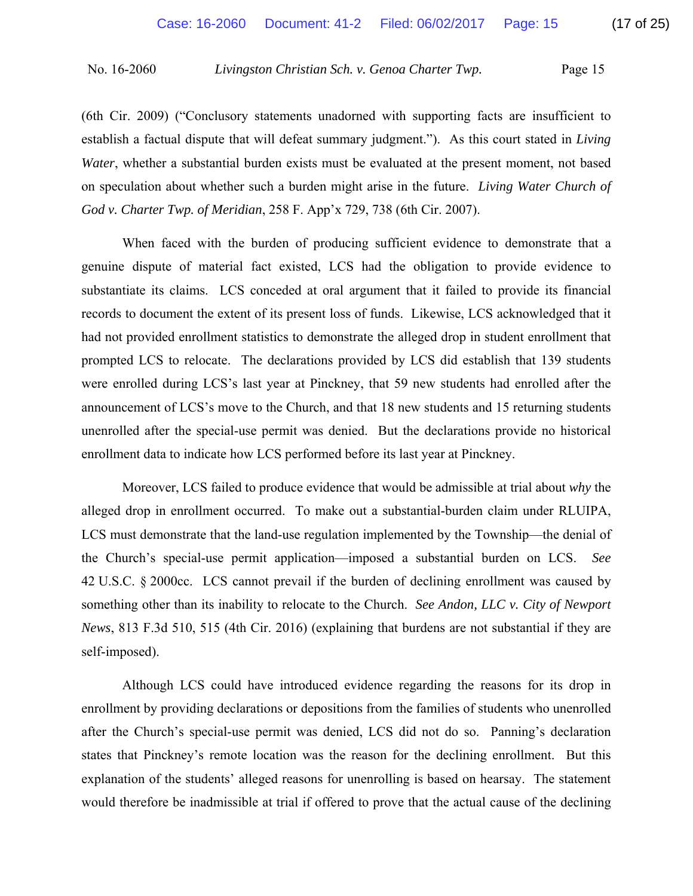(6th Cir. 2009) ("Conclusory statements unadorned with supporting facts are insufficient to establish a factual dispute that will defeat summary judgment."). As this court stated in *Living Water*, whether a substantial burden exists must be evaluated at the present moment, not based on speculation about whether such a burden might arise in the future. *Living Water Church of God v. Charter Twp. of Meridian*, 258 F. App'x 729, 738 (6th Cir. 2007).

 When faced with the burden of producing sufficient evidence to demonstrate that a genuine dispute of material fact existed, LCS had the obligation to provide evidence to substantiate its claims. LCS conceded at oral argument that it failed to provide its financial records to document the extent of its present loss of funds. Likewise, LCS acknowledged that it had not provided enrollment statistics to demonstrate the alleged drop in student enrollment that prompted LCS to relocate. The declarations provided by LCS did establish that 139 students were enrolled during LCS's last year at Pinckney, that 59 new students had enrolled after the announcement of LCS's move to the Church, and that 18 new students and 15 returning students unenrolled after the special-use permit was denied. But the declarations provide no historical enrollment data to indicate how LCS performed before its last year at Pinckney.

 Moreover, LCS failed to produce evidence that would be admissible at trial about *why* the alleged drop in enrollment occurred. To make out a substantial-burden claim under RLUIPA, LCS must demonstrate that the land-use regulation implemented by the Township—the denial of the Church's special-use permit application—imposed a substantial burden on LCS. *See*  42 U.S.C. § 2000cc. LCS cannot prevail if the burden of declining enrollment was caused by something other than its inability to relocate to the Church. *See Andon, LLC v. City of Newport News*, 813 F.3d 510, 515 (4th Cir. 2016) (explaining that burdens are not substantial if they are self-imposed).

 Although LCS could have introduced evidence regarding the reasons for its drop in enrollment by providing declarations or depositions from the families of students who unenrolled after the Church's special-use permit was denied, LCS did not do so. Panning's declaration states that Pinckney's remote location was the reason for the declining enrollment. But this explanation of the students' alleged reasons for unenrolling is based on hearsay. The statement would therefore be inadmissible at trial if offered to prove that the actual cause of the declining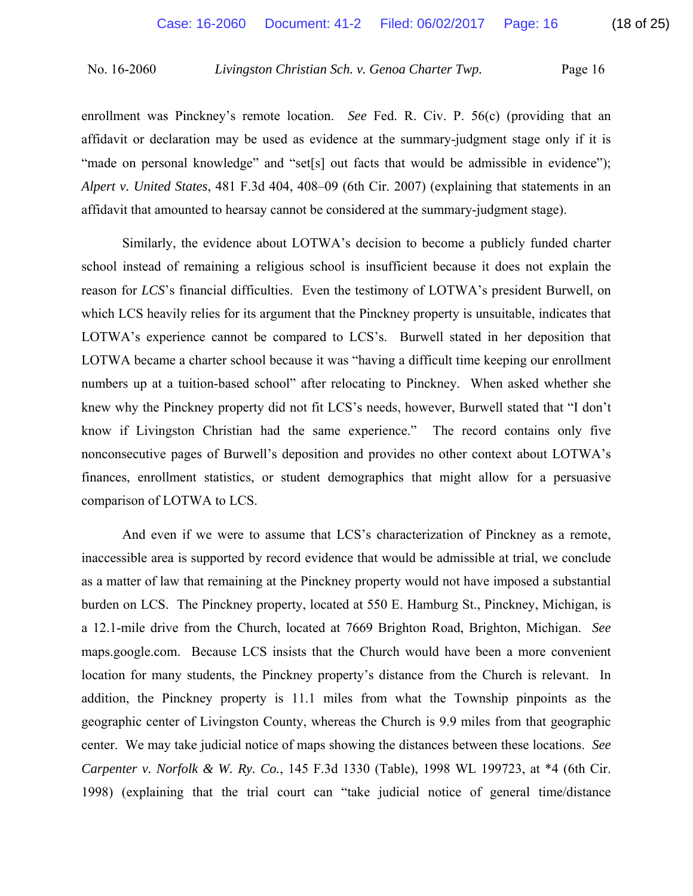enrollment was Pinckney's remote location. *See* Fed. R. Civ. P. 56(c) (providing that an affidavit or declaration may be used as evidence at the summary-judgment stage only if it is "made on personal knowledge" and "set[s] out facts that would be admissible in evidence"); *Alpert v. United States*, 481 F.3d 404, 408–09 (6th Cir. 2007) (explaining that statements in an affidavit that amounted to hearsay cannot be considered at the summary-judgment stage).

 Similarly, the evidence about LOTWA's decision to become a publicly funded charter school instead of remaining a religious school is insufficient because it does not explain the reason for *LCS*'s financial difficulties. Even the testimony of LOTWA's president Burwell, on which LCS heavily relies for its argument that the Pinckney property is unsuitable, indicates that LOTWA's experience cannot be compared to LCS's. Burwell stated in her deposition that LOTWA became a charter school because it was "having a difficult time keeping our enrollment numbers up at a tuition-based school" after relocating to Pinckney. When asked whether she knew why the Pinckney property did not fit LCS's needs, however, Burwell stated that "I don't know if Livingston Christian had the same experience." The record contains only five nonconsecutive pages of Burwell's deposition and provides no other context about LOTWA's finances, enrollment statistics, or student demographics that might allow for a persuasive comparison of LOTWA to LCS.

 And even if we were to assume that LCS's characterization of Pinckney as a remote, inaccessible area is supported by record evidence that would be admissible at trial, we conclude as a matter of law that remaining at the Pinckney property would not have imposed a substantial burden on LCS. The Pinckney property, located at 550 E. Hamburg St., Pinckney, Michigan, is a 12.1-mile drive from the Church, located at 7669 Brighton Road, Brighton, Michigan. *See*  maps.google.com. Because LCS insists that the Church would have been a more convenient location for many students, the Pinckney property's distance from the Church is relevant. In addition, the Pinckney property is 11.1 miles from what the Township pinpoints as the geographic center of Livingston County, whereas the Church is 9.9 miles from that geographic center. We may take judicial notice of maps showing the distances between these locations. *See Carpenter v. Norfolk & W. Ry. Co.*, 145 F.3d 1330 (Table), 1998 WL 199723, at \*4 (6th Cir. 1998) (explaining that the trial court can "take judicial notice of general time/distance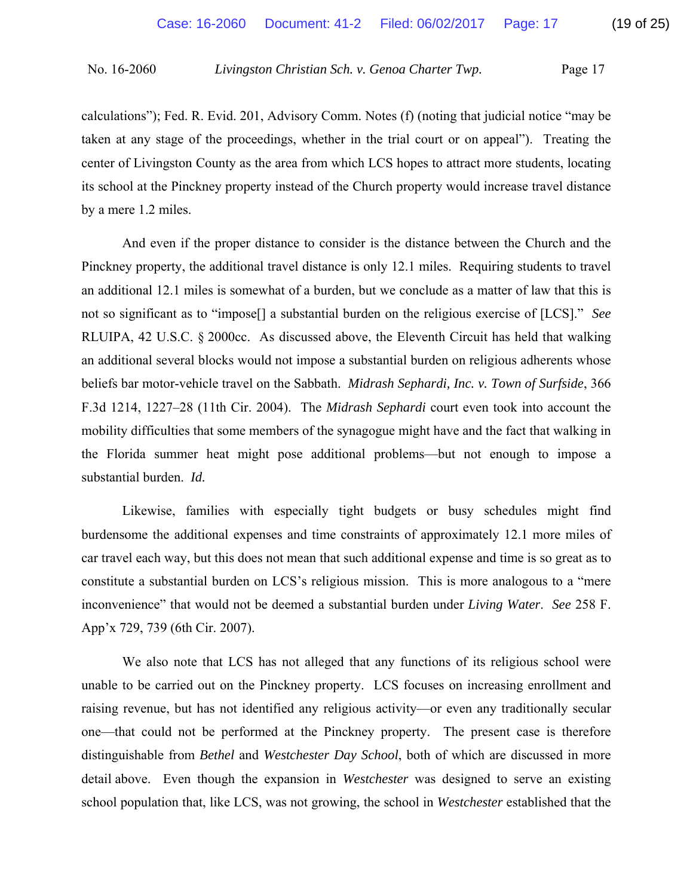calculations"); Fed. R. Evid. 201, Advisory Comm. Notes (f) (noting that judicial notice "may be taken at any stage of the proceedings, whether in the trial court or on appeal"). Treating the center of Livingston County as the area from which LCS hopes to attract more students, locating its school at the Pinckney property instead of the Church property would increase travel distance by a mere 1.2 miles.

 And even if the proper distance to consider is the distance between the Church and the Pinckney property, the additional travel distance is only 12.1 miles. Requiring students to travel an additional 12.1 miles is somewhat of a burden, but we conclude as a matter of law that this is not so significant as to "impose[] a substantial burden on the religious exercise of [LCS]." *See*  RLUIPA, 42 U.S.C. § 2000cc. As discussed above, the Eleventh Circuit has held that walking an additional several blocks would not impose a substantial burden on religious adherents whose beliefs bar motor-vehicle travel on the Sabbath. *Midrash Sephardi, Inc. v. Town of Surfside*, 366 F.3d 1214, 1227–28 (11th Cir. 2004).The *Midrash Sephardi* court even took into account the mobility difficulties that some members of the synagogue might have and the fact that walking in the Florida summer heat might pose additional problems—but not enough to impose a substantial burden. *Id.* 

Likewise, families with especially tight budgets or busy schedules might find burdensome the additional expenses and time constraints of approximately 12.1 more miles of car travel each way, but this does not mean that such additional expense and time is so great as to constitute a substantial burden on LCS's religious mission. This is more analogous to a "mere inconvenience" that would not be deemed a substantial burden under *Living Water*. *See* 258 F. App'x 729, 739 (6th Cir. 2007).

 We also note that LCS has not alleged that any functions of its religious school were unable to be carried out on the Pinckney property. LCS focuses on increasing enrollment and raising revenue, but has not identified any religious activity—or even any traditionally secular one—that could not be performed at the Pinckney property. The present case is therefore distinguishable from *Bethel* and *Westchester Day School*, both of which are discussed in more detail above. Even though the expansion in *Westchester* was designed to serve an existing school population that, like LCS, was not growing, the school in *Westchester* established that the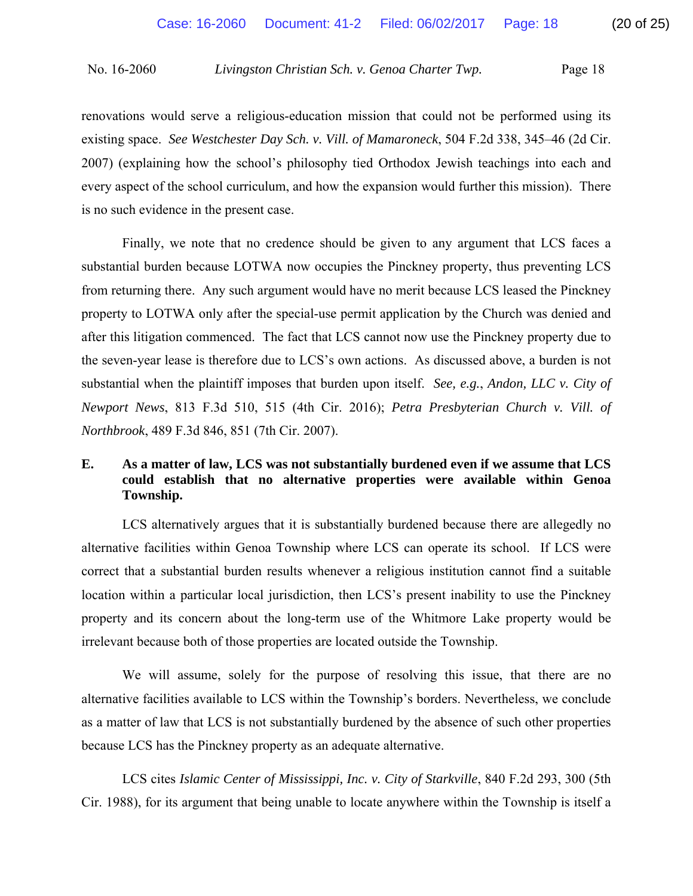renovations would serve a religious-education mission that could not be performed using its existing space. *See Westchester Day Sch. v. Vill. of Mamaroneck*, 504 F.2d 338, 345–46 (2d Cir. 2007) (explaining how the school's philosophy tied Orthodox Jewish teachings into each and every aspect of the school curriculum, and how the expansion would further this mission). There is no such evidence in the present case.

 Finally, we note that no credence should be given to any argument that LCS faces a substantial burden because LOTWA now occupies the Pinckney property, thus preventing LCS from returning there. Any such argument would have no merit because LCS leased the Pinckney property to LOTWA only after the special-use permit application by the Church was denied and after this litigation commenced. The fact that LCS cannot now use the Pinckney property due to the seven-year lease is therefore due to LCS's own actions. As discussed above, a burden is not substantial when the plaintiff imposes that burden upon itself. *See, e.g.*, *Andon, LLC v. City of Newport News*, 813 F.3d 510, 515 (4th Cir. 2016); *Petra Presbyterian Church v. Vill. of Northbrook*, 489 F.3d 846, 851 (7th Cir. 2007).

# **E. As a matter of law, LCS was not substantially burdened even if we assume that LCS could establish that no alternative properties were available within Genoa Township.**

 LCS alternatively argues that it is substantially burdened because there are allegedly no alternative facilities within Genoa Township where LCS can operate its school. If LCS were correct that a substantial burden results whenever a religious institution cannot find a suitable location within a particular local jurisdiction, then LCS's present inability to use the Pinckney property and its concern about the long-term use of the Whitmore Lake property would be irrelevant because both of those properties are located outside the Township.

 We will assume, solely for the purpose of resolving this issue, that there are no alternative facilities available to LCS within the Township's borders. Nevertheless, we conclude as a matter of law that LCS is not substantially burdened by the absence of such other properties because LCS has the Pinckney property as an adequate alternative.

 LCS cites *Islamic Center of Mississippi, Inc. v. City of Starkville*, 840 F.2d 293, 300 (5th Cir. 1988), for its argument that being unable to locate anywhere within the Township is itself a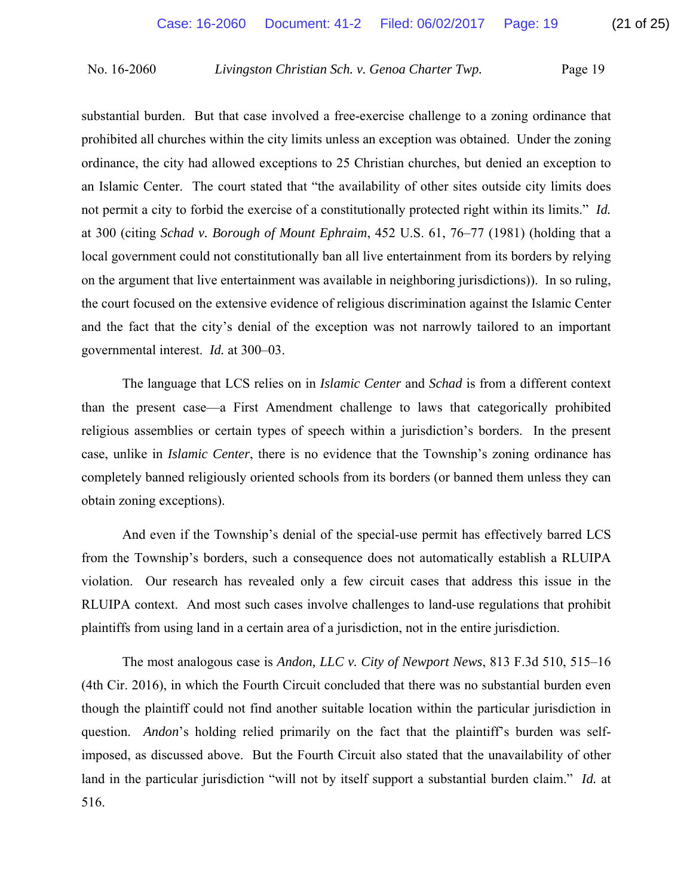substantial burden. But that case involved a free-exercise challenge to a zoning ordinance that prohibited all churches within the city limits unless an exception was obtained. Under the zoning ordinance, the city had allowed exceptions to 25 Christian churches, but denied an exception to an Islamic Center. The court stated that "the availability of other sites outside city limits does not permit a city to forbid the exercise of a constitutionally protected right within its limits." *Id.*  at 300 (citing *Schad v. Borough of Mount Ephraim*, 452 U.S. 61, 76–77 (1981) (holding that a local government could not constitutionally ban all live entertainment from its borders by relying on the argument that live entertainment was available in neighboring jurisdictions)). In so ruling, the court focused on the extensive evidence of religious discrimination against the Islamic Center and the fact that the city's denial of the exception was not narrowly tailored to an important governmental interest. *Id.* at 300–03.

 The language that LCS relies on in *Islamic Center* and *Schad* is from a different context than the present case—a First Amendment challenge to laws that categorically prohibited religious assemblies or certain types of speech within a jurisdiction's borders. In the present case, unlike in *Islamic Center*, there is no evidence that the Township's zoning ordinance has completely banned religiously oriented schools from its borders (or banned them unless they can obtain zoning exceptions).

 And even if the Township's denial of the special-use permit has effectively barred LCS from the Township's borders, such a consequence does not automatically establish a RLUIPA violation. Our research has revealed only a few circuit cases that address this issue in the RLUIPA context. And most such cases involve challenges to land-use regulations that prohibit plaintiffs from using land in a certain area of a jurisdiction, not in the entire jurisdiction.

 The most analogous case is *Andon, LLC v. City of Newport News*, 813 F.3d 510, 515–16 (4th Cir. 2016), in which the Fourth Circuit concluded that there was no substantial burden even though the plaintiff could not find another suitable location within the particular jurisdiction in question. *Andon*'s holding relied primarily on the fact that the plaintiff's burden was selfimposed, as discussed above. But the Fourth Circuit also stated that the unavailability of other land in the particular jurisdiction "will not by itself support a substantial burden claim." *Id.* at 516.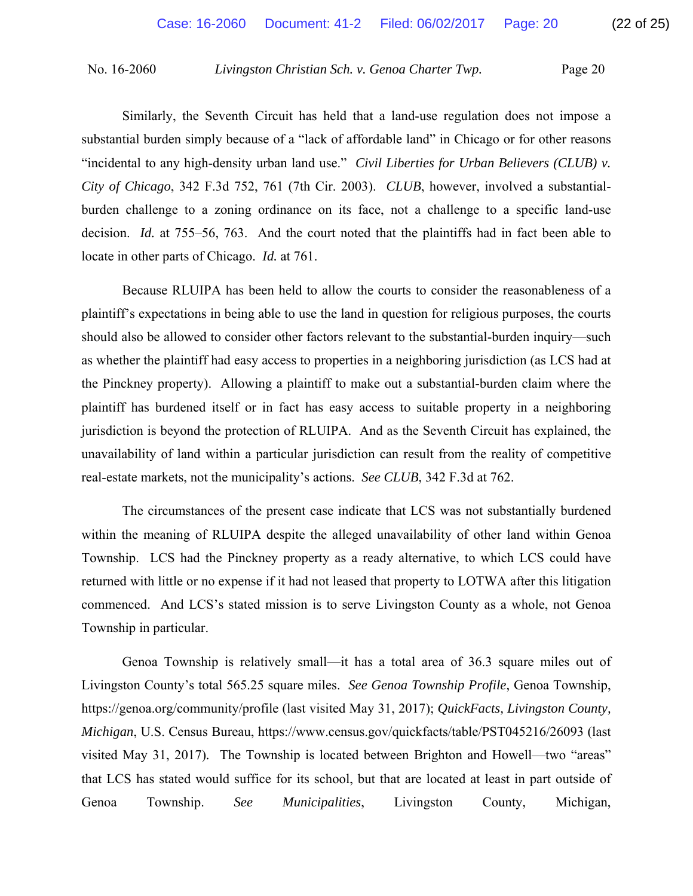Similarly, the Seventh Circuit has held that a land-use regulation does not impose a substantial burden simply because of a "lack of affordable land" in Chicago or for other reasons "incidental to any high-density urban land use." *Civil Liberties for Urban Believers (CLUB) v. City of Chicago*, 342 F.3d 752, 761 (7th Cir. 2003). *CLUB*, however, involved a substantialburden challenge to a zoning ordinance on its face, not a challenge to a specific land-use decision. *Id.* at 755–56, 763. And the court noted that the plaintiffs had in fact been able to locate in other parts of Chicago. *Id.* at 761.

 Because RLUIPA has been held to allow the courts to consider the reasonableness of a plaintiff's expectations in being able to use the land in question for religious purposes, the courts should also be allowed to consider other factors relevant to the substantial-burden inquiry—such as whether the plaintiff had easy access to properties in a neighboring jurisdiction (as LCS had at the Pinckney property). Allowing a plaintiff to make out a substantial-burden claim where the plaintiff has burdened itself or in fact has easy access to suitable property in a neighboring jurisdiction is beyond the protection of RLUIPA. And as the Seventh Circuit has explained, the unavailability of land within a particular jurisdiction can result from the reality of competitive real-estate markets, not the municipality's actions. *See CLUB*, 342 F.3d at 762.

 The circumstances of the present case indicate that LCS was not substantially burdened within the meaning of RLUIPA despite the alleged unavailability of other land within Genoa Township. LCS had the Pinckney property as a ready alternative, to which LCS could have returned with little or no expense if it had not leased that property to LOTWA after this litigation commenced. And LCS's stated mission is to serve Livingston County as a whole, not Genoa Township in particular.

 Genoa Township is relatively small—it has a total area of 36.3 square miles out of Livingston County's total 565.25 square miles. *See Genoa Township Profile*, Genoa Township, https://genoa.org/community/profile (last visited May 31, 2017); *QuickFacts, Livingston County, Michigan*, U.S. Census Bureau, https://www.census.gov/quickfacts/table/PST045216/26093 (last visited May 31, 2017)*.* The Township is located between Brighton and Howell—two "areas" that LCS has stated would suffice for its school, but that are located at least in part outside of Genoa Township. *See Municipalities*, Livingston County, Michigan,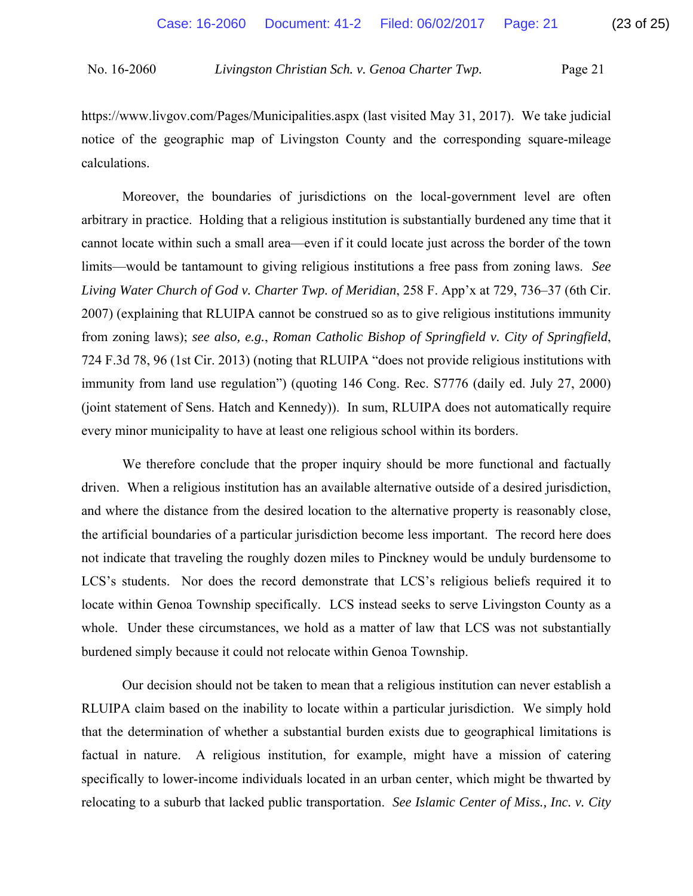https://www.livgov.com/Pages/Municipalities.aspx (last visited May 31, 2017). We take judicial notice of the geographic map of Livingston County and the corresponding square-mileage calculations.

 Moreover, the boundaries of jurisdictions on the local-government level are often arbitrary in practice. Holding that a religious institution is substantially burdened any time that it cannot locate within such a small area—even if it could locate just across the border of the town limits—would be tantamount to giving religious institutions a free pass from zoning laws. *See Living Water Church of God v. Charter Twp. of Meridian*, 258 F. App'x at 729, 736–37 (6th Cir. 2007) (explaining that RLUIPA cannot be construed so as to give religious institutions immunity from zoning laws); *see also, e.g.*, *Roman Catholic Bishop of Springfield v. City of Springfield*, 724 F.3d 78, 96 (1st Cir. 2013) (noting that RLUIPA "does not provide religious institutions with immunity from land use regulation") (quoting 146 Cong. Rec. S7776 (daily ed. July 27, 2000) (joint statement of Sens. Hatch and Kennedy)). In sum, RLUIPA does not automatically require every minor municipality to have at least one religious school within its borders.

 We therefore conclude that the proper inquiry should be more functional and factually driven. When a religious institution has an available alternative outside of a desired jurisdiction, and where the distance from the desired location to the alternative property is reasonably close, the artificial boundaries of a particular jurisdiction become less important. The record here does not indicate that traveling the roughly dozen miles to Pinckney would be unduly burdensome to LCS's students. Nor does the record demonstrate that LCS's religious beliefs required it to locate within Genoa Township specifically. LCS instead seeks to serve Livingston County as a whole. Under these circumstances, we hold as a matter of law that LCS was not substantially burdened simply because it could not relocate within Genoa Township.

 Our decision should not be taken to mean that a religious institution can never establish a RLUIPA claim based on the inability to locate within a particular jurisdiction. We simply hold that the determination of whether a substantial burden exists due to geographical limitations is factual in nature. A religious institution, for example, might have a mission of catering specifically to lower-income individuals located in an urban center, which might be thwarted by relocating to a suburb that lacked public transportation. *See Islamic Center of Miss., Inc. v. City*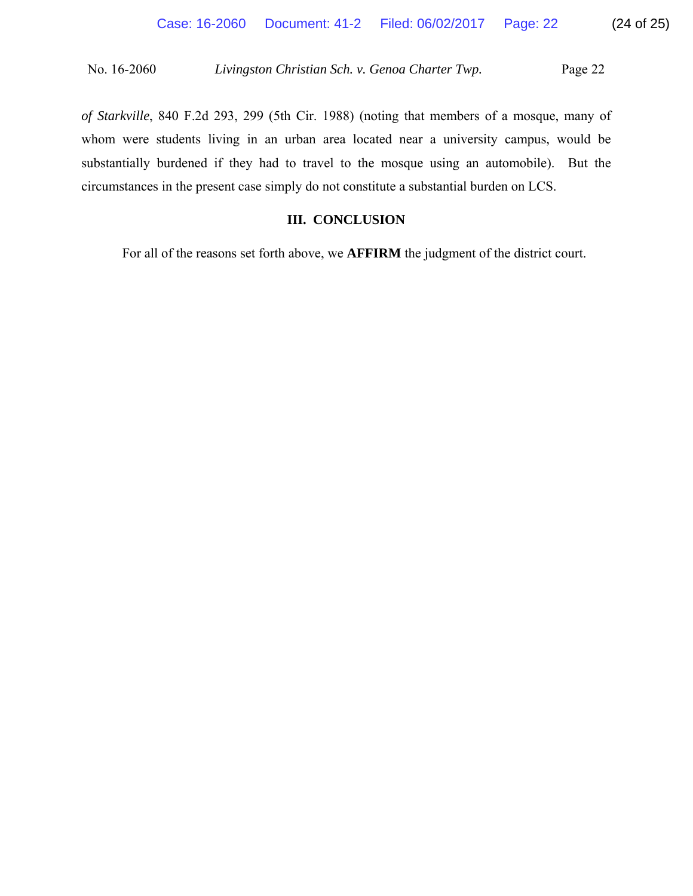*of Starkville*, 840 F.2d 293, 299 (5th Cir. 1988) (noting that members of a mosque, many of whom were students living in an urban area located near a university campus, would be substantially burdened if they had to travel to the mosque using an automobile). But the circumstances in the present case simply do not constitute a substantial burden on LCS.

# **III. CONCLUSION**

For all of the reasons set forth above, we **AFFIRM** the judgment of the district court.